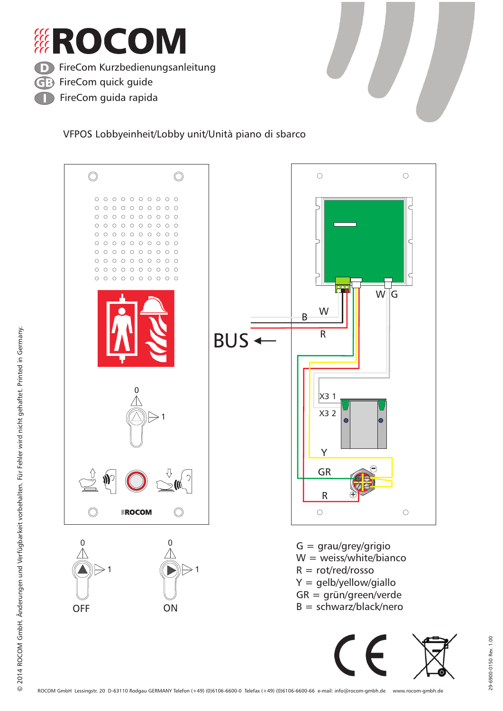





©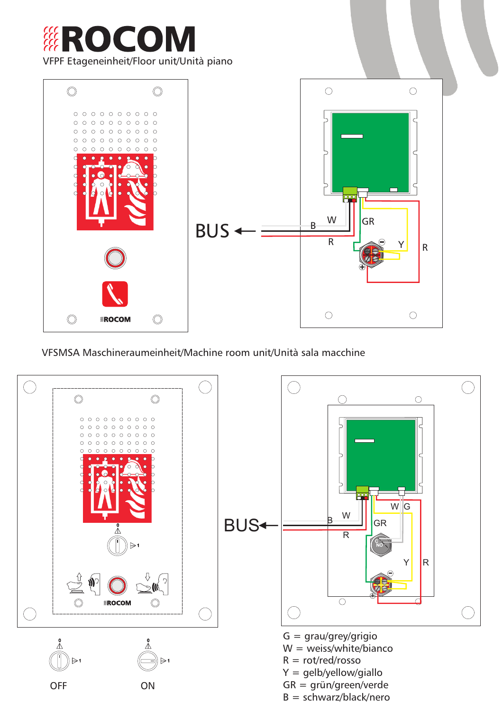

VFSMSA Maschineraumeinheit/Machine room unit/Unità sala macchine

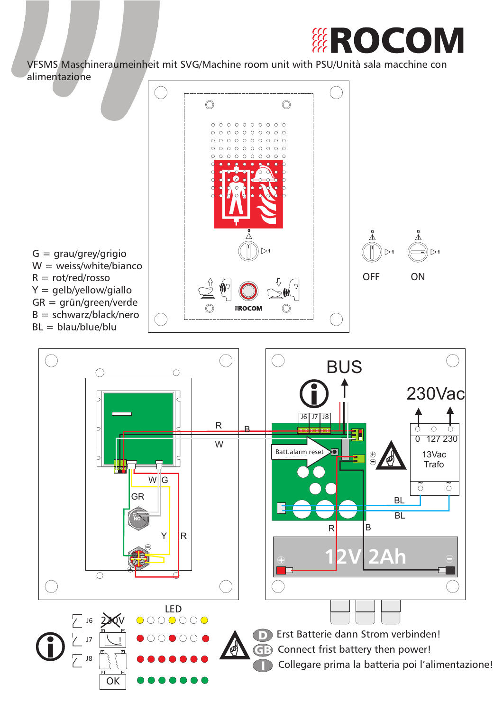

VFSMS Maschineraumeinheit mit SVG/Machine room unit with PSU/Unità sala macchine con alimentazione